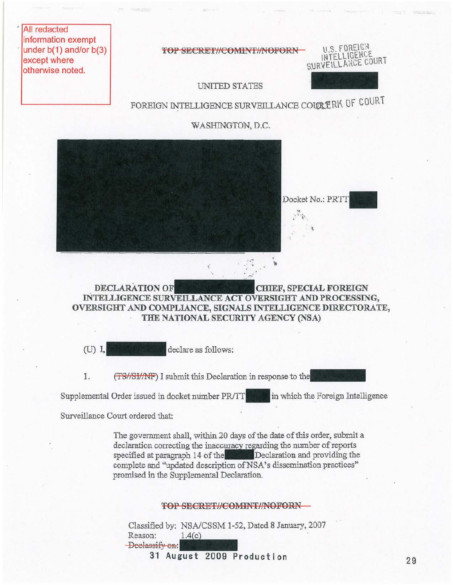All redacted information exempt under  $b(1)$  and/or  $b(3)$ except where otherwise noted.

TOP SECRET//COMINT//NOFORN-



UNITED STATES

FOREIGN INTELLIGENCE SURVEILLANCE COURTERK OF COURT

WASHINGTON, D.C.



DECLARATION OF CHIEF, SPECIAL FOREIGN INTELLIGENCE SURVEILLANCE ACT OVERSIGHT AND PROCESSING, OVERSIGHT AND COMPLIANCE, SIGNALS INTELLIGENCE DIRECTORATE, THE NATIONAL SECURITY AGENCY (NSA)

(U) I, where the declare as follows:

1. (TS//SI/NF) I submit this Declaration in response to the

Supplemental Order issued in docket number PR/TT. in which the Foreign Intelligence

Surveillance Court ordered that:

The government shall, within 20 days of the date of this order, submit a declaration correcting the inaccuracy regarding the number of reports specified at paragraph 14 of the Declaration and providing the complete and "updated description of NSA's dissemination practices" promised in the Supplemental Declaration.

## TOP SECRET//COMINT//NOFORN -

Classified by: NSAlCSSM 1-52, Dated 8 January, 2007 Reason: Deelassify on: SECRET//COMINT//NOFOR<br>NSA/CSSM 1-52, Dated 8 January<br>1.4(c) SECRET/COMIN<br>NSA/CSSM 1-52, D<br>1.4(c)<br>gust 2009 Prod

31 August 2009 Production 29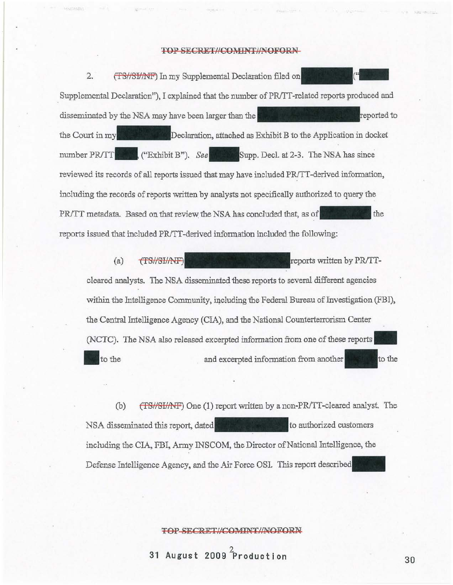#### TOP SECRET//COMINT//NOFORN-

2. (TS//SI/NF) In my Supplemental Declaration filed on Supplemental Declaration"), I explained that the number of PR/TT-related reports produced and disseminated by the NSA may have been larger than the Terminated Telecomputer is reported to the Court in my **Declaration**, attached as Exhibit B to the Application in docket number **PR/TT**. ("Exhibit B"). See Supp. Decl. at 2-3. The NSA has since reviewed its records of all reports issued that may have included PR/TT-derived information, including the records of reports written by analysts not specifically authorized to query the *PR/TT* metadata. Based on that review the NSA has concluded that, as of **Figure 2014** the reports issued that included PR/TT-derived information included the following:

(a)  $\sqrt{TS/ r}$  reports written by PR/TTcleared analysts. The NSA disseminated these reports to several different agencies within the Intelligence Community, including the Federal Bureau of Investigation (FBI), the Central Intelligence Agency (CIA), and me National Counterterrorism Center (NCTC). The NSA also released excerpted information from one of these reports\_ to the and excerpted information from another  $\sim$  method to the

(b)  $(TSHSH)$  One (1) report written by a non-PR/TT-cleared analyst. The NSA disseminated this report, dated the same and to authorized customers including the CIA, FBI, Army INSCOM, the Director of National Intelligence, the Defense Intelligence Agency, and the Air Force OSI. This report described

#### roP SECRET,I/COMINTJINOFORN

<sup>2</sup>**31 August 2009 Production** 

'" A • **• -.**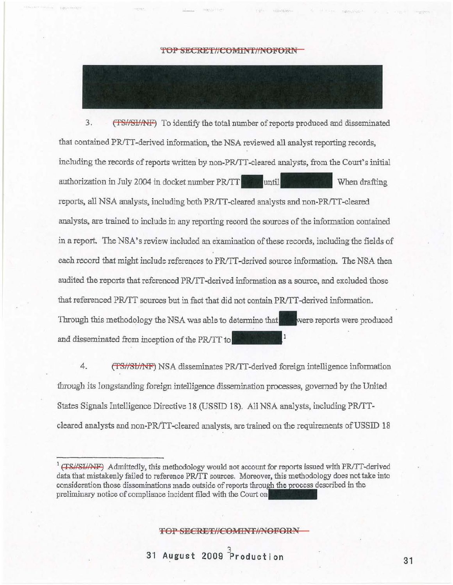## **TOP SECRET//COMINT//NOFORN-**

3. (TS//SI/AFF) To identify the total number of reports produced and disseminated that contained PRiTT-derived information, the NSA reviewed **all** analyst reporting records, including the records of reports written by non-PR/TT-cleared analysts, from the Court's initial authorization in July 2004 in docket number PR/TT when duntil reports, all NSA analysts, including both PR/TT-cleared analysts and non-PR/TT-cleared analysts, are trained to include in any reporting record the sources of the information contained in a report. The NSA's review included an examination of these records, including the fields of each record that might include references to PR/TT-derived source information. The NSA then audited the reports that referenced PR/TT-derived information as a source, and excluded those that referenced *PR/TT* sources but in fact that did not contain *PR/TT*-derived information. Through this methodology the NSA was able to determine that were reports were produced and disseminated from inception of the *PRITT* to

4. (TS/SI/NF) NSA disseminates PR/TT-derived foreign intelligence information through its longstanding foreign intelligence dissemination processes, governed by the United States Signals Intelligence Directive 18 (USSID 18). All NSA analysts, including PR/TTcleared analysts and non-PRITT-cleared analysts, are trained on the requirements of US SID 18

TOP SECRET//COMINT//NOFORN

<sup>&</sup>lt;sup>1</sup> (TS//SI//NF) Admittedly, this methodology would not account for reports issued with PR/TT-derived data that mistakenly failed to reference PR/TT sources. Moreover, this methodology does not take into consideration those disseminations made outside of reports in the preliminary notice of compliance incident filed with the Court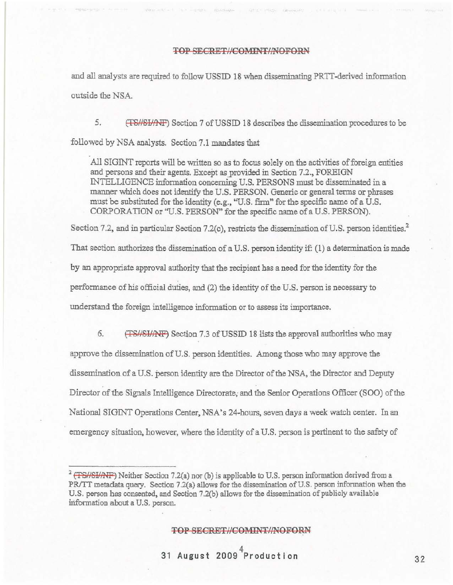# TOP SECRET//COMINT/NOFORN

and all analysts are required to follow USSID 18 when disseminating PRTT-derived information outside the NSA.

5. (TS//SI/AF) Section 7 of USSID 18 describes the dissemination procedures to be followed by NSA analysts. Section 7.1 mandates that

All SIGINT reports will be written so as to focus solely on the activities of foreign entities and persons and their agents. Except as provided in Section 7.2., FOREIGN INTELLIGENCE information concerning U.S. PERSONS must be disseminated in a manner which does not identify the U.S. PERSON. Generic or general terms or phrases must be substituted for the identity (e.g., "U.S. fIrm" for the specific name of a U.S. CORPORATION or "U.S. PERSON" for the specific name of a U.S. PERSON).

Section 7.2, and in particular Section 7.2(c), restricts the dissemination of U.S. person identities.<sup>2</sup> That section authorizes the dissemination of a U.S. person identity if: (1) a determination is made by an appropriate approval authority that the recipient has a need for the identity for the perfonnance of his official duties, and (2) the identity of the U.S. person is necessary to understand the foreign intelligence infonnation or to assess its importance.

6. (TS/SH/NF) Section 7.3 of USSID 18 lists the approval authorities who may approve the dissemination of U.S. person identities. Among those who may approve the dissemination of a U.S. person identity are the Director of the NSA, the Director and Deputy Director of the Signals Intelligence Directorate, and the Senior Operations Officer (SOO) of the National SIGINT Operations Center, NSA's 24-hours, seven days a week watch center. In an emergency situation, however, where the identity of a U.S. person is pertinent to the safety of

### TOP SECRET//COMINT//NOFORN

<sup>&</sup>lt;sup>2</sup> (TS//SI/AVF) Neither Section 7.2(a) nor (b) is applicable to U.S. person information derived from a PR/TT metadata query. Section 7.2(a) allows for the dissemination of U.S. person information when the U.S. person bas consented, and Section 7.2(b) allows for the dissemination of publicly available information about a U.S. person.